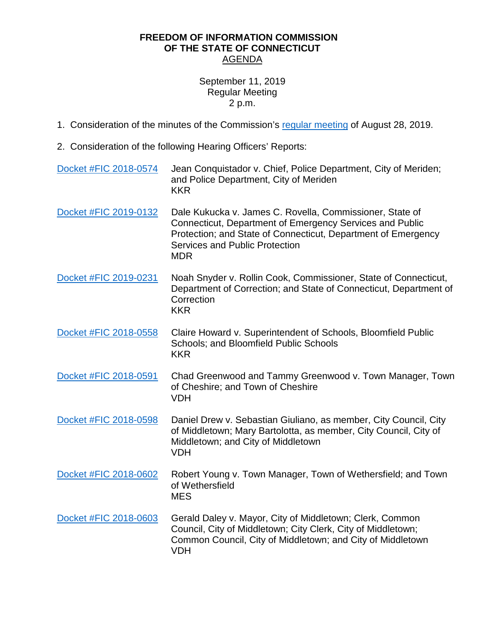## **FREEDOM OF INFORMATION COMMISSION OF THE STATE OF CONNECTICUT** AGENDA

## September 11, 2019 Regular Meeting 2 p.m.

- 1. Consideration of the minutes of the Commission's regular [meeting](https://portal.ct.gov/-/media/FOI/Minutes/2019/Aug28/FOIC_Minutes_08282019.pdf) of August 28, 2019.
- 2. Consideration of the following Hearing Officers' Reports:

| Docket #FIC 2018-0574 | Jean Conquistador v. Chief, Police Department, City of Meriden;<br>and Police Department, City of Meriden<br><b>KKR</b>                                                                                                                      |
|-----------------------|----------------------------------------------------------------------------------------------------------------------------------------------------------------------------------------------------------------------------------------------|
| Docket #FIC 2019-0132 | Dale Kukucka v. James C. Rovella, Commissioner, State of<br>Connecticut, Department of Emergency Services and Public<br>Protection; and State of Connecticut, Department of Emergency<br><b>Services and Public Protection</b><br><b>MDR</b> |
| Docket #FIC 2019-0231 | Noah Snyder v. Rollin Cook, Commissioner, State of Connecticut,<br>Department of Correction; and State of Connecticut, Department of<br>Correction<br><b>KKR</b>                                                                             |
| Docket #FIC 2018-0558 | Claire Howard v. Superintendent of Schools, Bloomfield Public<br>Schools; and Bloomfield Public Schools<br><b>KKR</b>                                                                                                                        |
| Docket #FIC 2018-0591 | Chad Greenwood and Tammy Greenwood v. Town Manager, Town<br>of Cheshire; and Town of Cheshire<br><b>VDH</b>                                                                                                                                  |
| Docket #FIC 2018-0598 | Daniel Drew v. Sebastian Giuliano, as member, City Council, City<br>of Middletown; Mary Bartolotta, as member, City Council, City of<br>Middletown; and City of Middletown<br><b>VDH</b>                                                     |
| Docket #FIC 2018-0602 | Robert Young v. Town Manager, Town of Wethersfield; and Town<br>of Wethersfield<br><b>MES</b>                                                                                                                                                |
| Docket #FIC 2018-0603 | Gerald Daley v. Mayor, City of Middletown; Clerk, Common<br>Council, City of Middletown; City Clerk, City of Middletown;<br>Common Council, City of Middletown; and City of Middletown<br><b>VDH</b>                                         |